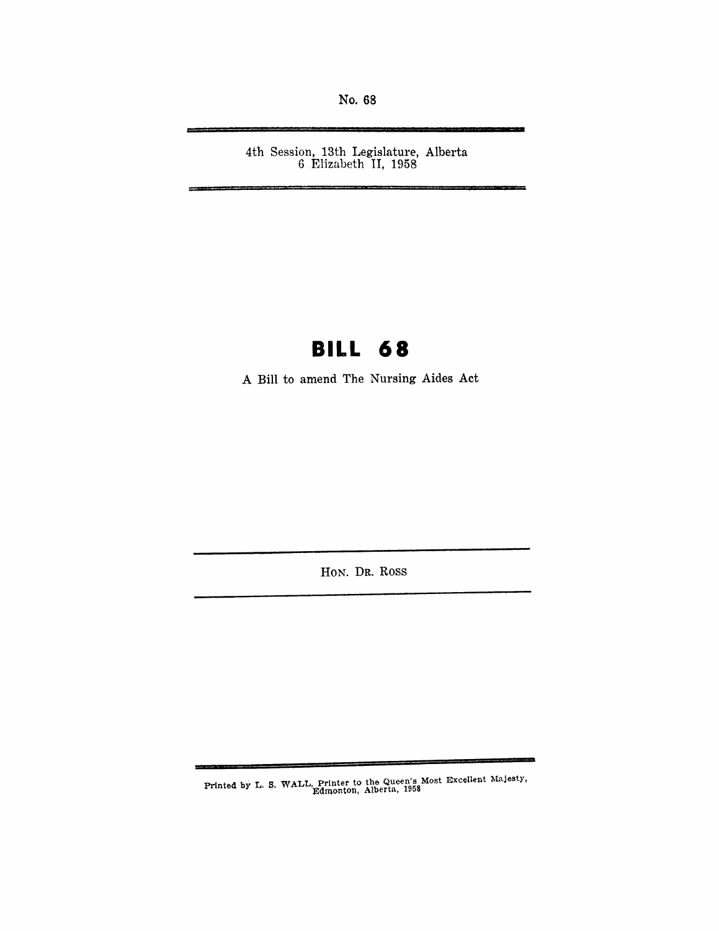No. 68

4th Session, 13th Legislature, Alberta 6 Elizabeth II, 1958'

## **BILL 68**

A Bill to amend The Nursing Aides Act

HON. DR. Ross

Printed by L. S. WALL, Printer to the Queen's Most Excellent Majesty,<br>Edmonton. Alberta, 1958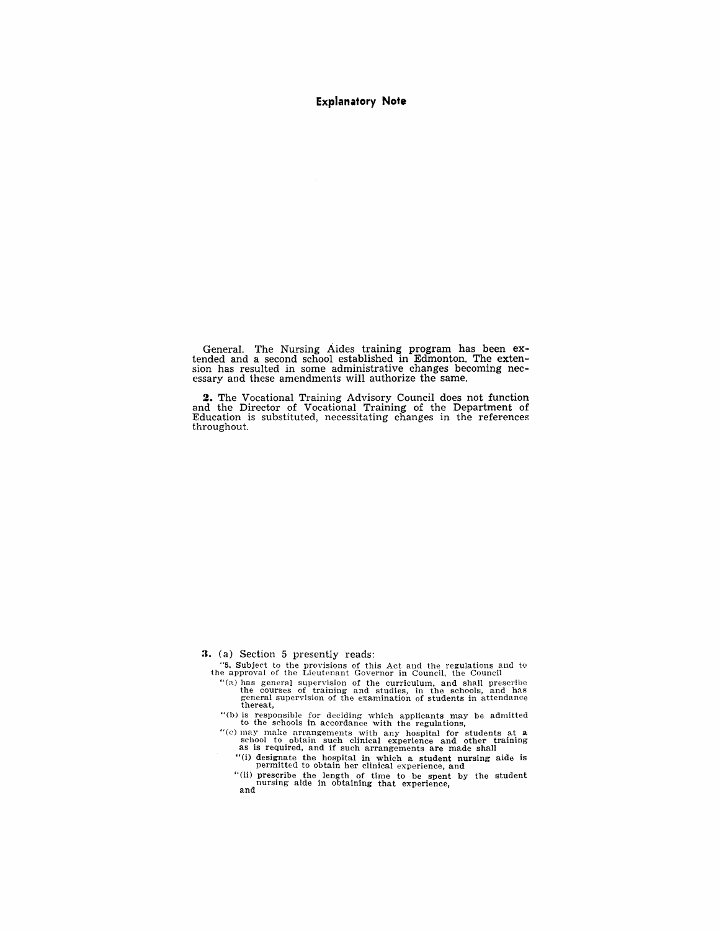#### **Explanatory Note**

General. The Nursing Aides training program has been ex- tended and a second school established in Edmonton. The extension has resulted in some administrative changes becoming nec- essary and these amendments will authorize the same.

**2.** The Vocational Trainjng Advisory Council does not function and the Director of Vocational Training of the Department of Education is substituted, necessitating changes in the references throughout.

**3.** (a) Section 5 presently reads:

- "5. Subject to the provisions of this Act and the regulations and to the approval of the Lieutenant Governor in Council, the Council
	- "(8.) has general supervision of the curriculum, and shall prescribe the courses of training and studies, in the schools, and has general supervision of the examination of students in attendance thereat,
	- "(b) is responsible for deciding which applicants may be admitted to the schools in accordance with the regulations,
	- "(c) may make arrangements with any hospital for students at a school to obtain such clinical experience and other training as is required, and if such arrangements are made shall
		- "(1) designate the hospital in which a student nursing aide is permitted to obtain her clinical experience, and
		- "(li) prescribe the length of time to be spent by the student nursing aide in obtaining that experience, and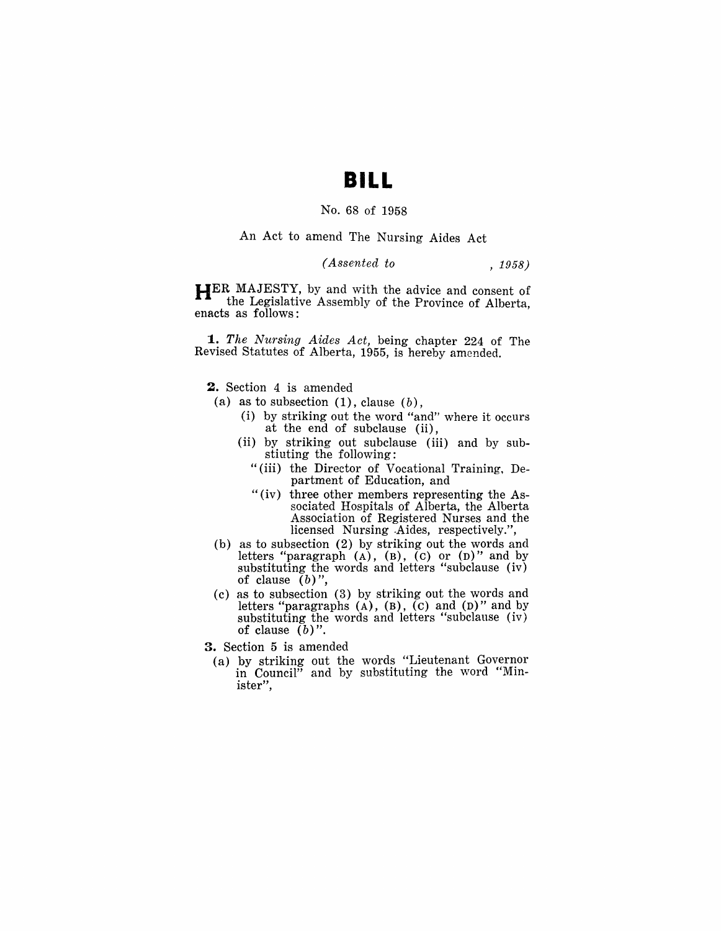### **BILL**

#### No. 68 of 1958

An Act to amend The Nursing Aides Act

### *(Assented to* , 1958)

**HER** MAJESTY, by and with the advice and consent of the Legislative Assembly of the Province of Alberta, enacts as follows:

*1. The Nursing Aides Act,* being chapter 224 of The Revised Statutes of Alberta, 1955, is hereby amended.

**2.** Section 4 is amended

- (a) as to subsection  $(1)$ , clause  $(b)$ ,
	- (i) by striking out the word "and" where it occurs at the end of subclause (ii),
	- (ii) by striking out subclause (iii) and by substiuting the following:
		- "(iii) the Director of Vocational Training, Department of Education, and
		- "(iv) three other members representing the Associated Hospitals of Alberta, the Alberta Association of Registered Nurses and the licensed Nursing -Aides, respectively.",
- (b) as to subsection (2) by striking out the words and letters "paragraph  $(A)$ ,  $(B)$ ,  $(C)$  or  $(D)$ " and by substituting the words and letters "subclause (iv) of clause  $(b)$ ",
- (c) as to subsection (3) by striking out the words and letters "paragraphs  $(A)$ ,  $(B)$ ,  $(C)$  and  $(D)$ " and by substituting the words and letters "subclause (iv) of clause *(b)".*
- 3. Section 5 is amended
	- (a) by striking out the words "Lieutenant Governor in Council" and by substituting the word "Minister",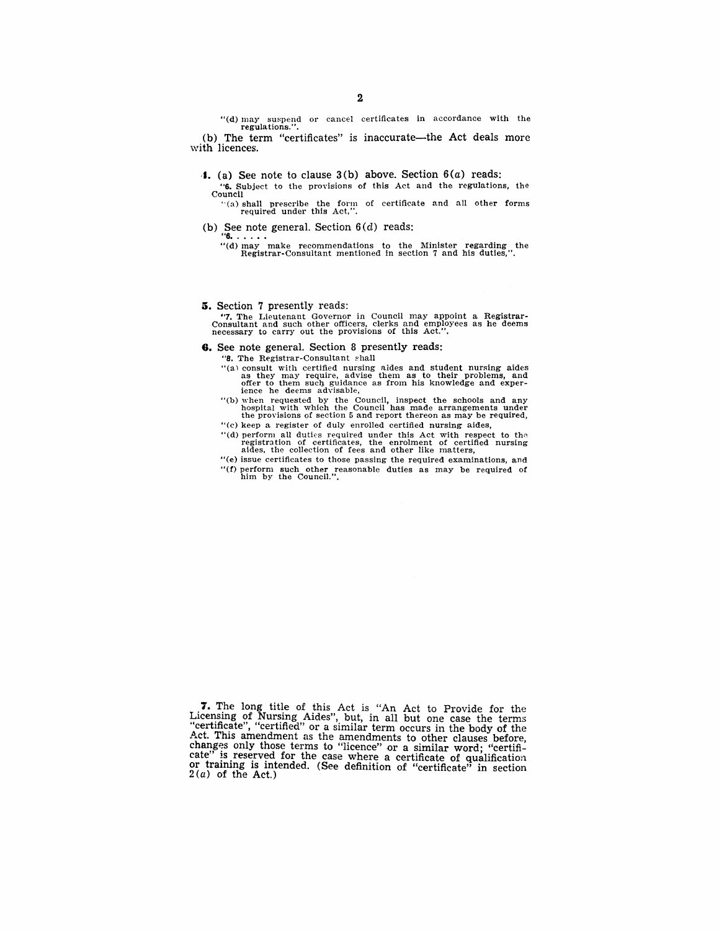"(d) may suspend or cancel certificates in accordance with the regulations.".

(b) The term "certificates" is inaccurate—the Act deals more with licences.

- **1.** (a) See note to clause  $3(b)$  above. Section  $6(a)$  reads:
	- "6. Subject to the provisions of this Act and the regulations. tho Council

 $(3)$  shall prescribe the form of certificate and all other forms required under this Act,".

(b) See note general. Section  $6(d)$  reads:<br>
"**6.** . . . .<br>
"(d) may make recommendations to the Minister regarding the<br>
Registrar-Consultant mentioned in section 7 and his duties,".

#### **5.** Section 7 presently reads:

"7. The Lieutenant Governor in Council may appoint a Registrar-Consultant and such other officers, clerks and employees as he deems necessary to carry out the provisions of this Act.".

**6.** See note general. Section 8 presently reads:

"8. The Registrar-Consultant shall

- "(a) consult with certified nursing aides and student nursing aides as they may require, advise them as to their problems, and offer to them such guidance as from his knowledge and exper-<br>ience he deems advisable,
- "(b) when requested by the Council, inspect the schOOls and any hospital with which the Council has made arrangements under the provisions of section 5 and report thereon as may be required,
- "(c) keep a register of duly enrolled certified nursing aides,
- "(d) perform all duties required under this Act with respect to the registration of certificates, the enrolment of certified nursing aides, the collection of fees and other like matters,
- "(e) issue certificates to those passing the required examinations, and "(f) perform such other reasonable duties as may be required of him by the Council.".

<sup>7.</sup> The long title of this Act is "An Act to Provide for the Licensing of Nursing Aides", but, in all but one case the terms "certificate", "certified" or a similar term occurs in the body of the Act. This amendment as the amendments to other clauses before, changes only those terms to "licence" or a similar word; "certificate" is reserved for the case where a certificate of qualification or training is intended. (See definition of "certificate" in section  $2(a)$  of the Act.)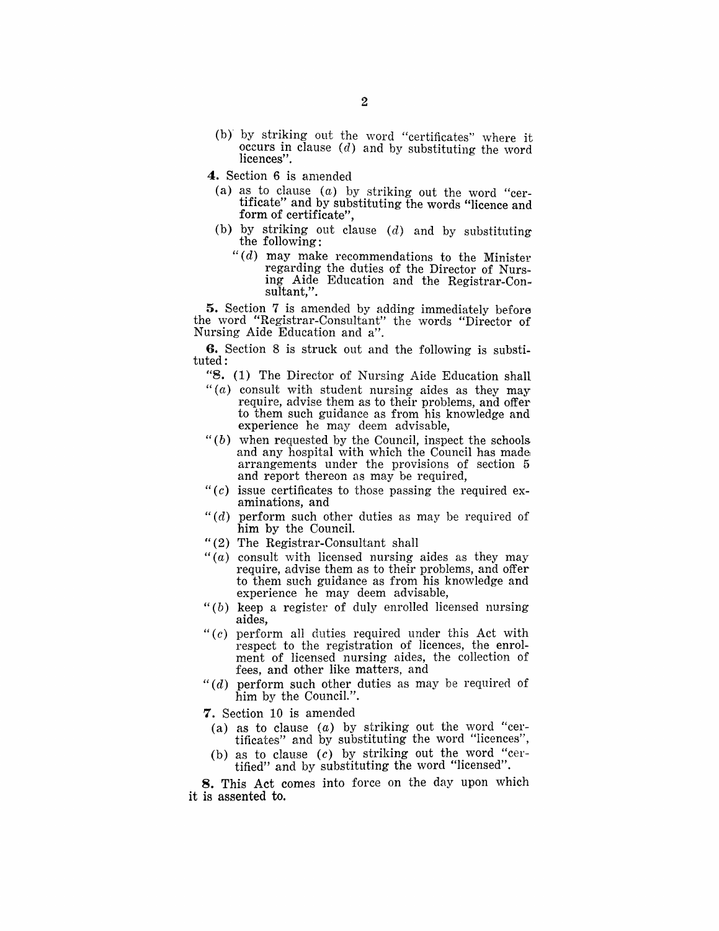- (b) by striking out the word "certificates" where it occurs in clause  $(d)$  and by substituting the word licences".
- 4. Section 6 is amended
	- (a) as to clause  $(a)$  by striking out the word "certificate" and by substituting the words "licence and form of certificate",
	- (b) by striking out clause  $(d)$  and by substituting the following:
		- $H(d)$  may make recommendations to the Minister regarding the duties of the Director of Nursing Aide Education and the Registrar-Con-sultant,".

5. Section 7 is amended by adding immediately before the word "Registrar-Consultant" the words "Director of Nursing Aide Education and a".

6. Section 8 is struck out and the following is substituted:

- "8. (1) The Director of Nursing Aide Education shall
- " $(a)$  consult with student nursing aides as they may require, advise them as to their problems, and offer to them such guidance as from his knowledge and experience he may deem advisable,
- $" (b)$  when requested by the Council, inspect the schools and any hospital with which the Council has made arrangements under the provisions of section 5 and report thereon as may be required,
- " $(c)$  issue certificates to those passing the required examinations, and
- " $(d)$  perform such other duties as may be required of him by the Council.
- "(2) The Registrar-Consultant shall
- " $(a)$  consult with licensed nursing aides as they may require, advise them as to their problems, and offer to them such guidance as from his knowledge and experience he may deem advisable,
- " $(b)$  keep a register of duly enrolled licensed nursing aides,
- " $(c)$  perform all duties required under this Act with respect to the registration of licences, the enrolment of licensed nursing aides, the collection of fees, and other like matters, and
- " $(d)$  perform such other duties as may be required of him by the CounciL".
- 7. Section 10 is amended
	- (a) as to clause (a) by striking out the word "certificates" and by substituting the word "licences",
	- (b) as to clause (c) by striking out the word "certified" and by substituting the word "licensed".

8. This Act comes into force on the day upon which it is assented to.